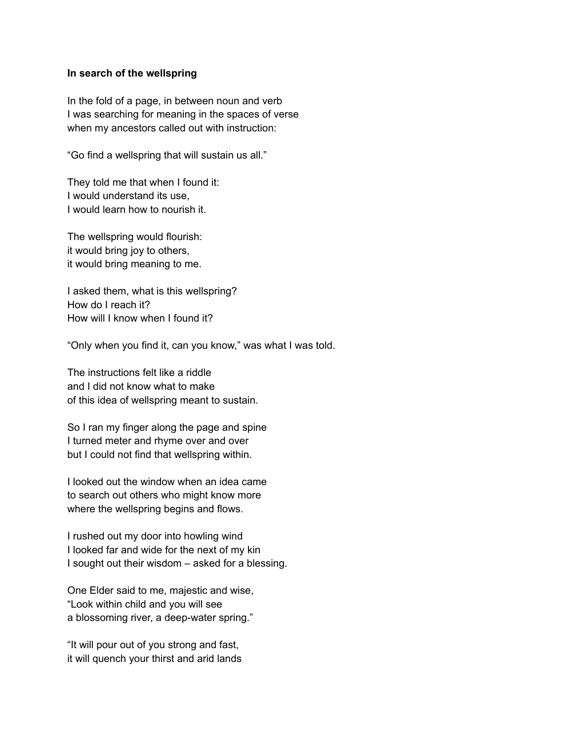## **In search of the wellspring**

In the fold of a page, in between noun and verb I was searching for meaning in the spaces of verse when my ancestors called out with instruction:

"Go find a wellspring that will sustain us all."

They told me that when I found it: I would understand its use, I would learn how to nourish it.

The wellspring would flourish: it would bring joy to others, it would bring meaning to me.

I asked them, what is this wellspring? How do I reach it? How will I know when I found it?

"Only when you find it, can you know," was what I was told.

The instructions felt like a riddle and I did not know what to make of this idea of wellspring meant to sustain.

So I ran my finger along the page and spine I turned meter and rhyme over and over but I could not find that wellspring within.

I looked out the window when an idea came to search out others who might know more where the wellspring begins and flows.

I rushed out my door into howling wind I looked far and wide for the next of my kin I sought out their wisdom – asked for a blessing.

One Elder said to me, majestic and wise, "Look within child and you will see a blossoming river, a deep-water spring."

"It will pour out of you strong and fast, it will quench your thirst and arid lands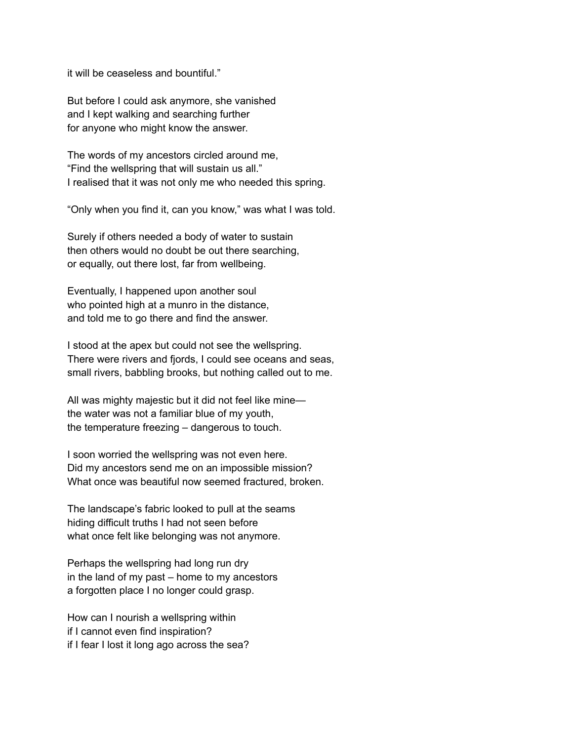it will be ceaseless and bountiful."

But before I could ask anymore, she vanished and I kept walking and searching further for anyone who might know the answer.

The words of my ancestors circled around me, "Find the wellspring that will sustain us all." I realised that it was not only me who needed this spring.

"Only when you find it, can you know," was what I was told.

Surely if others needed a body of water to sustain then others would no doubt be out there searching, or equally, out there lost, far from wellbeing.

Eventually, I happened upon another soul who pointed high at a munro in the distance, and told me to go there and find the answer.

I stood at the apex but could not see the wellspring. There were rivers and fjords, I could see oceans and seas, small rivers, babbling brooks, but nothing called out to me.

All was mighty majestic but it did not feel like mine the water was not a familiar blue of my youth, the temperature freezing – dangerous to touch.

I soon worried the wellspring was not even here. Did my ancestors send me on an impossible mission? What once was beautiful now seemed fractured, broken.

The landscape's fabric looked to pull at the seams hiding difficult truths I had not seen before what once felt like belonging was not anymore.

Perhaps the wellspring had long run dry in the land of my past – home to my ancestors a forgotten place I no longer could grasp.

How can I nourish a wellspring within if I cannot even find inspiration? if I fear I lost it long ago across the sea?